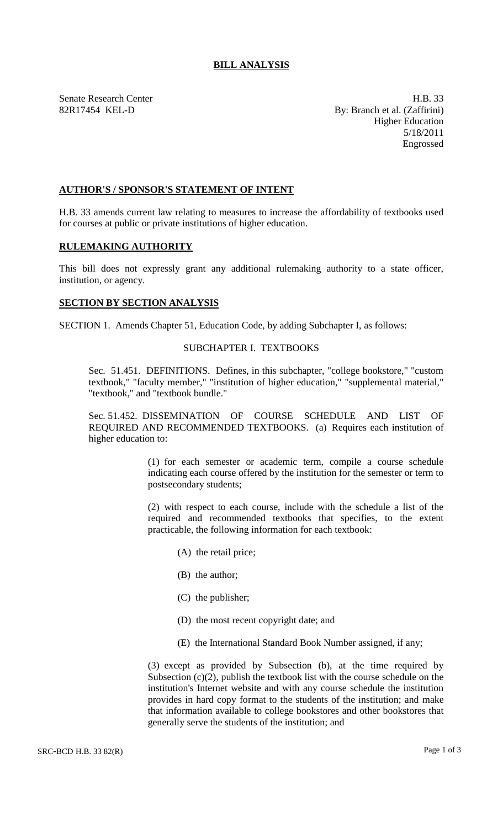# **BILL ANALYSIS**

Senate Research Center **H.B.** 33 82R17454 KEL-D By: Branch et al. (Zaffirini) Higher Education 5/18/2011 Engrossed

# **AUTHOR'S / SPONSOR'S STATEMENT OF INTENT**

H.B. 33 amends current law relating to measures to increase the affordability of textbooks used for courses at public or private institutions of higher education.

#### **RULEMAKING AUTHORITY**

This bill does not expressly grant any additional rulemaking authority to a state officer, institution, or agency.

# **SECTION BY SECTION ANALYSIS**

SECTION 1. Amends Chapter 51, Education Code, by adding Subchapter I, as follows:

# SUBCHAPTER I. TEXTBOOKS

Sec. 51.451. DEFINITIONS. Defines, in this subchapter, "college bookstore," "custom textbook," "faculty member," "institution of higher education," "supplemental material," "textbook," and "textbook bundle."

Sec. 51.452. DISSEMINATION OF COURSE SCHEDULE AND LIST OF REQUIRED AND RECOMMENDED TEXTBOOKS. (a) Requires each institution of higher education to:

> (1) for each semester or academic term, compile a course schedule indicating each course offered by the institution for the semester or term to postsecondary students;

> (2) with respect to each course, include with the schedule a list of the required and recommended textbooks that specifies, to the extent practicable, the following information for each textbook:

- (A) the retail price;
- (B) the author;
- (C) the publisher;
- (D) the most recent copyright date; and
- (E) the International Standard Book Number assigned, if any;

(3) except as provided by Subsection (b), at the time required by Subsection  $(c)(2)$ , publish the textbook list with the course schedule on the institution's Internet website and with any course schedule the institution provides in hard copy format to the students of the institution; and make that information available to college bookstores and other bookstores that generally serve the students of the institution; and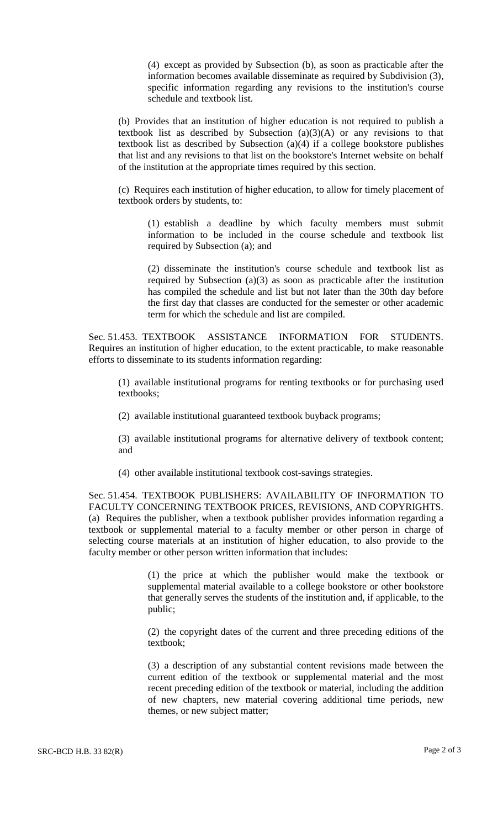(4) except as provided by Subsection (b), as soon as practicable after the information becomes available disseminate as required by Subdivision (3), specific information regarding any revisions to the institution's course schedule and textbook list.

(b) Provides that an institution of higher education is not required to publish a textbook list as described by Subsection  $(a)(3)(A)$  or any revisions to that textbook list as described by Subsection (a)(4) if a college bookstore publishes that list and any revisions to that list on the bookstore's Internet website on behalf of the institution at the appropriate times required by this section.

(c) Requires each institution of higher education, to allow for timely placement of textbook orders by students, to:

(1) establish a deadline by which faculty members must submit information to be included in the course schedule and textbook list required by Subsection (a); and

(2) disseminate the institution's course schedule and textbook list as required by Subsection (a)(3) as soon as practicable after the institution has compiled the schedule and list but not later than the 30th day before the first day that classes are conducted for the semester or other academic term for which the schedule and list are compiled.

Sec. 51.453. TEXTBOOK ASSISTANCE INFORMATION FOR STUDENTS. Requires an institution of higher education, to the extent practicable, to make reasonable efforts to disseminate to its students information regarding:

(1) available institutional programs for renting textbooks or for purchasing used textbooks;

(2) available institutional guaranteed textbook buyback programs;

(3) available institutional programs for alternative delivery of textbook content; and

(4) other available institutional textbook cost-savings strategies.

Sec. 51.454. TEXTBOOK PUBLISHERS: AVAILABILITY OF INFORMATION TO FACULTY CONCERNING TEXTBOOK PRICES, REVISIONS, AND COPYRIGHTS. (a) Requires the publisher, when a textbook publisher provides information regarding a textbook or supplemental material to a faculty member or other person in charge of selecting course materials at an institution of higher education, to also provide to the faculty member or other person written information that includes:

> (1) the price at which the publisher would make the textbook or supplemental material available to a college bookstore or other bookstore that generally serves the students of the institution and, if applicable, to the public;

> (2) the copyright dates of the current and three preceding editions of the textbook;

> (3) a description of any substantial content revisions made between the current edition of the textbook or supplemental material and the most recent preceding edition of the textbook or material, including the addition of new chapters, new material covering additional time periods, new themes, or new subject matter;